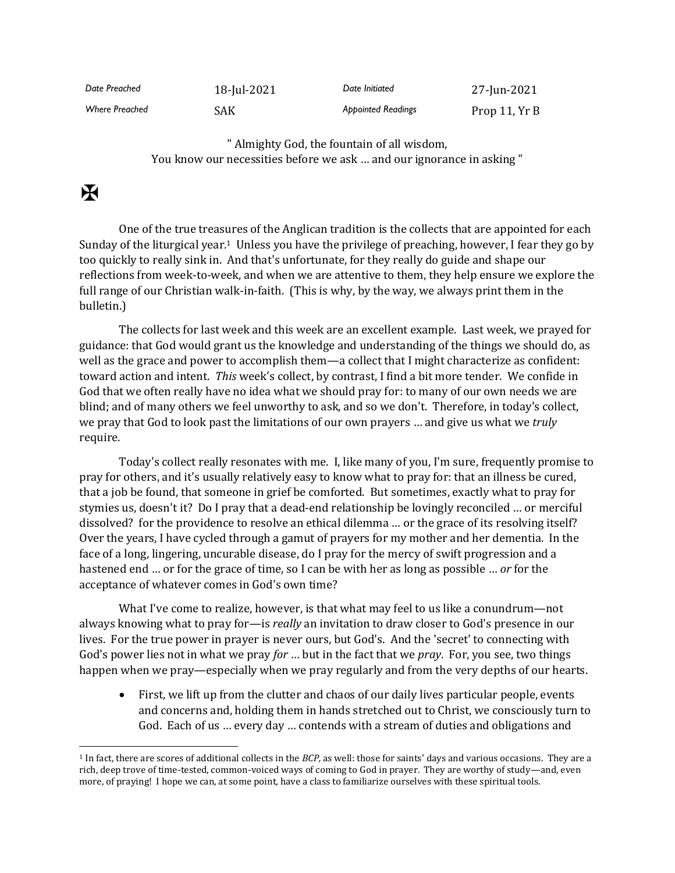| Date Preached         | 18-Jul-2021 | Date Initiated            | 27-Jun-2021   |
|-----------------------|-------------|---------------------------|---------------|
| <b>Where Preached</b> | <b>SAK</b>  | <b>Appointed Readings</b> | Prop 11, Yr B |

" Almighty God, the fountain of all wisdom, You know our necessities before we ask … and our ignorance in asking "

## $\mathbf F$

One of the true treasures of the Anglican tradition is the collects that are appointed for each Sunday of the liturgical year.1 Unless you have the privilege of preaching, however, I fear they go by too quickly to really sink in. And that's unfortunate, for they really do guide and shape our reflections from week-to-week, and when we are attentive to them, they help ensure we explore the full range of our Christian walk-in-faith. (This is why, by the way, we always print them in the bulletin.)

The collects for last week and this week are an excellent example. Last week, we prayed for guidance: that God would grant us the knowledge and understanding of the things we should do, as well as the grace and power to accomplish them—a collect that I might characterize as confident: toward action and intent. *This* week's collect, by contrast, I find a bit more tender. We confide in God that we often really have no idea what we should pray for: to many of our own needs we are blind; and of many others we feel unworthy to ask, and so we don't. Therefore, in today's collect, we pray that God to look past the limitations of our own prayers … and give us what we *truly* require.

Today's collect really resonates with me. I, like many of you, I'm sure, frequently promise to pray for others, and it's usually relatively easy to know what to pray for: that an illness be cured, that a job be found, that someone in grief be comforted. But sometimes, exactly what to pray for stymies us, doesn't it? Do I pray that a dead-end relationship be lovingly reconciled … or merciful dissolved? for the providence to resolve an ethical dilemma … or the grace of its resolving itself? Over the years, I have cycled through a gamut of prayers for my mother and her dementia. In the face of a long, lingering, uncurable disease, do I pray for the mercy of swift progression and a hastened end … or for the grace of time, so I can be with her as long as possible … *or* for the acceptance of whatever comes in God's own time?

What I've come to realize, however, is that what may feel to us like a conundrum—not always knowing what to pray for—is *really* an invitation to draw closer to God's presence in our lives. For the true power in prayer is never ours, but God's. And the 'secret' to connecting with God's power lies not in what we pray *for* … but in the fact that we *pray*. For, you see, two things happen when we pray—especially when we pray regularly and from the very depths of our hearts.

• First, we lift up from the clutter and chaos of our daily lives particular people, events and concerns and, holding them in hands stretched out to Christ, we consciously turn to God. Each of us … every day … contends with a stream of duties and obligations and

<sup>1</sup> In fact, there are scores of additional collects in the *BCP,* as well: those for saints' days and various occasions. They are a rich, deep trove of time-tested, common-voiced ways of coming to God in prayer. They are worthy of study—and, even more, of praying! I hope we can, at some point, have a class to familiarize ourselves with these spiritual tools.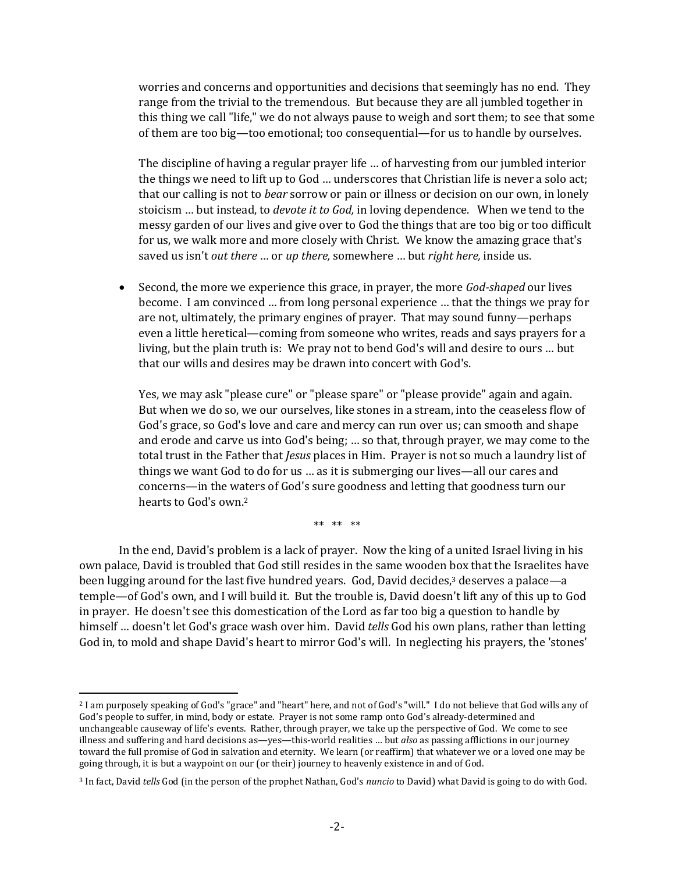worries and concerns and opportunities and decisions that seemingly has no end. They range from the trivial to the tremendous. But because they are all jumbled together in this thing we call "life," we do not always pause to weigh and sort them; to see that some of them are too big—too emotional; too consequential—for us to handle by ourselves.

The discipline of having a regular prayer life … of harvesting from our jumbled interior the things we need to lift up to God … underscores that Christian life is never a solo act; that our calling is not to *bear* sorrow or pain or illness or decision on our own, in lonely stoicism … but instead, to *devote it to God,* in loving dependence. When we tend to the messy garden of our lives and give over to God the things that are too big or too difficult for us, we walk more and more closely with Christ. We know the amazing grace that's saved us isn't *out there* … or *up there,* somewhere … but *right here,* inside us.

• Second, the more we experience this grace, in prayer, the more *God-shaped* our lives become. I am convinced … from long personal experience … that the things we pray for are not, ultimately, the primary engines of prayer. That may sound funny—perhaps even a little heretical—coming from someone who writes, reads and says prayers for a living, but the plain truth is: We pray not to bend God's will and desire to ours … but that our wills and desires may be drawn into concert with God's.

Yes, we may ask "please cure" or "please spare" or "please provide" again and again. But when we do so, we our ourselves, like stones in a stream, into the ceaseless flow of God's grace, so God's love and care and mercy can run over us; can smooth and shape and erode and carve us into God's being; … so that, through prayer, we may come to the total trust in the Father that *Jesus* places in Him. Prayer is not so much a laundry list of things we want God to do for us … as it is submerging our lives—all our cares and concerns—in the waters of God's sure goodness and letting that goodness turn our hearts to God's own.<sup>2</sup>

\*\* \*\* \*\*

In the end, David's problem is a lack of prayer. Now the king of a united Israel living in his own palace, David is troubled that God still resides in the same wooden box that the Israelites have been lugging around for the last five hundred years. God, David decides, <sup>3</sup> deserves a palace—a temple—of God's own, and I will build it. But the trouble is, David doesn't lift any of this up to God in prayer. He doesn't see this domestication of the Lord as far too big a question to handle by himself … doesn't let God's grace wash over him. David *tells* God his own plans, rather than letting God in, to mold and shape David's heart to mirror God's will. In neglecting his prayers, the 'stones'

<sup>2</sup> I am purposely speaking of God's "grace" and "heart" here, and not of God's "will." I do not believe that God wills any of God's people to suffer, in mind, body or estate. Prayer is not some ramp onto God's already-determined and unchangeable causeway of life's events. Rather, through prayer, we take up the perspective of God. We come to see illness and suffering and hard decisions as—yes—this-world realities … but *also* as passing afflictions in our journey toward the full promise of God in salvation and eternity. We learn (or reaffirm) that whatever we or a loved one may be going through, it is but a waypoint on our (or their) journey to heavenly existence in and of God.

<sup>3</sup> In fact, David *tells* God (in the person of the prophet Nathan, God's *nuncio* to David) what David is going to do with God.